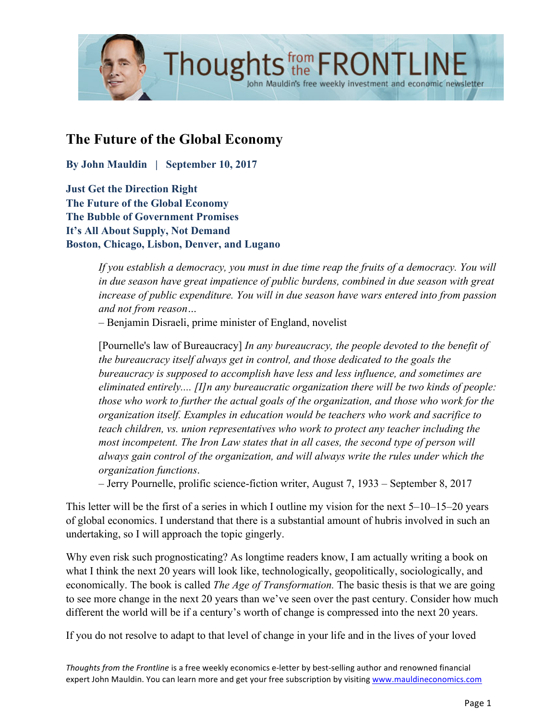

# **The Future of the Global Economy**

**By John Mauldin | September 10, 2017**

**Just Get the Direction Right The Future of the Global Economy The Bubble of Government Promises It's All About Supply, Not Demand Boston, Chicago, Lisbon, Denver, and Lugano**

> *If you establish a democracy, you must in due time reap the fruits of a democracy. You will in due season have great impatience of public burdens, combined in due season with great increase of public expenditure. You will in due season have wars entered into from passion and not from reason…*

John Mauldin's free weekly investment and economic newsletter

– Benjamin Disraeli, prime minister of England, novelist

[Pournelle's law of Bureaucracy] *In any bureaucracy, the people devoted to the benefit of the bureaucracy itself always get in control, and those dedicated to the goals the bureaucracy is supposed to accomplish have less and less influence, and sometimes are eliminated entirely.... [I]n any bureaucratic organization there will be two kinds of people: those who work to further the actual goals of the organization, and those who work for the organization itself. Examples in education would be teachers who work and sacrifice to teach children, vs. union representatives who work to protect any teacher including the most incompetent. The Iron Law states that in all cases, the second type of person will always gain control of the organization, and will always write the rules under which the organization functions*.

– Jerry Pournelle, prolific science-fiction writer, August 7, 1933 – September 8, 2017

This letter will be the first of a series in which I outline my vision for the next  $5-10-15-20$  years of global economics. I understand that there is a substantial amount of hubris involved in such an undertaking, so I will approach the topic gingerly.

Why even risk such prognosticating? As longtime readers know, I am actually writing a book on what I think the next 20 years will look like, technologically, geopolitically, sociologically, and economically. The book is called *The Age of Transformation.* The basic thesis is that we are going to see more change in the next 20 years than we've seen over the past century. Consider how much different the world will be if a century's worth of change is compressed into the next 20 years.

If you do not resolve to adapt to that level of change in your life and in the lives of your loved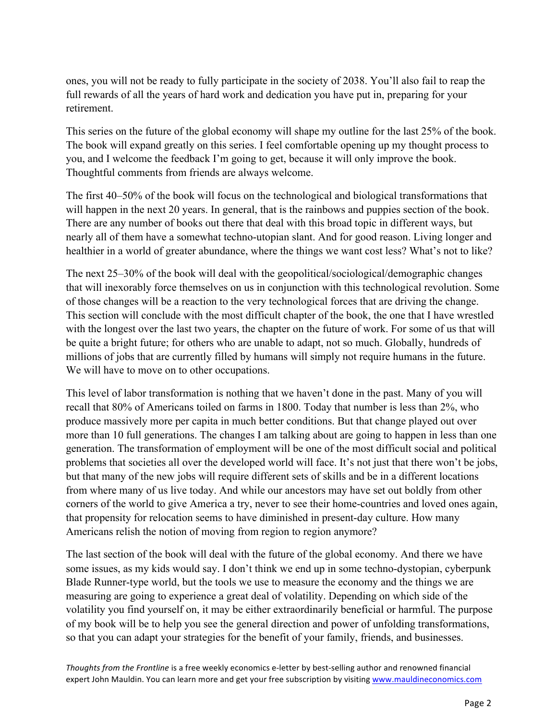ones, you will not be ready to fully participate in the society of 2038. You'll also fail to reap the full rewards of all the years of hard work and dedication you have put in, preparing for your retirement.

This series on the future of the global economy will shape my outline for the last 25% of the book. The book will expand greatly on this series. I feel comfortable opening up my thought process to you, and I welcome the feedback I'm going to get, because it will only improve the book. Thoughtful comments from friends are always welcome.

The first 40–50% of the book will focus on the technological and biological transformations that will happen in the next 20 years. In general, that is the rainbows and puppies section of the book. There are any number of books out there that deal with this broad topic in different ways, but nearly all of them have a somewhat techno-utopian slant. And for good reason. Living longer and healthier in a world of greater abundance, where the things we want cost less? What's not to like?

The next 25–30% of the book will deal with the geopolitical/sociological/demographic changes that will inexorably force themselves on us in conjunction with this technological revolution. Some of those changes will be a reaction to the very technological forces that are driving the change. This section will conclude with the most difficult chapter of the book, the one that I have wrestled with the longest over the last two years, the chapter on the future of work. For some of us that will be quite a bright future; for others who are unable to adapt, not so much. Globally, hundreds of millions of jobs that are currently filled by humans will simply not require humans in the future. We will have to move on to other occupations.

This level of labor transformation is nothing that we haven't done in the past. Many of you will recall that 80% of Americans toiled on farms in 1800. Today that number is less than 2%, who produce massively more per capita in much better conditions. But that change played out over more than 10 full generations. The changes I am talking about are going to happen in less than one generation. The transformation of employment will be one of the most difficult social and political problems that societies all over the developed world will face. It's not just that there won't be jobs, but that many of the new jobs will require different sets of skills and be in a different locations from where many of us live today. And while our ancestors may have set out boldly from other corners of the world to give America a try, never to see their home-countries and loved ones again, that propensity for relocation seems to have diminished in present-day culture. How many Americans relish the notion of moving from region to region anymore?

The last section of the book will deal with the future of the global economy. And there we have some issues, as my kids would say. I don't think we end up in some techno-dystopian, cyberpunk Blade Runner-type world, but the tools we use to measure the economy and the things we are measuring are going to experience a great deal of volatility. Depending on which side of the volatility you find yourself on, it may be either extraordinarily beneficial or harmful. The purpose of my book will be to help you see the general direction and power of unfolding transformations, so that you can adapt your strategies for the benefit of your family, friends, and businesses.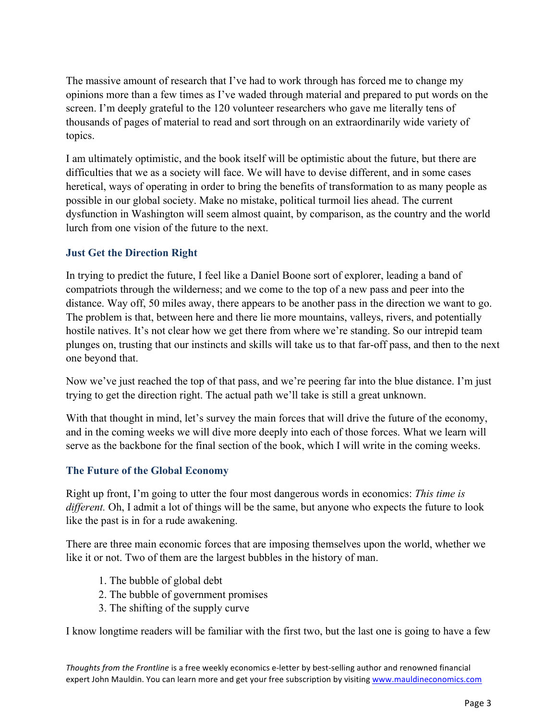The massive amount of research that I've had to work through has forced me to change my opinions more than a few times as I've waded through material and prepared to put words on the screen. I'm deeply grateful to the 120 volunteer researchers who gave me literally tens of thousands of pages of material to read and sort through on an extraordinarily wide variety of topics.

I am ultimately optimistic, and the book itself will be optimistic about the future, but there are difficulties that we as a society will face. We will have to devise different, and in some cases heretical, ways of operating in order to bring the benefits of transformation to as many people as possible in our global society. Make no mistake, political turmoil lies ahead. The current dysfunction in Washington will seem almost quaint, by comparison, as the country and the world lurch from one vision of the future to the next.

#### **Just Get the Direction Right**

In trying to predict the future, I feel like a Daniel Boone sort of explorer, leading a band of compatriots through the wilderness; and we come to the top of a new pass and peer into the distance. Way off, 50 miles away, there appears to be another pass in the direction we want to go. The problem is that, between here and there lie more mountains, valleys, rivers, and potentially hostile natives. It's not clear how we get there from where we're standing. So our intrepid team plunges on, trusting that our instincts and skills will take us to that far-off pass, and then to the next one beyond that.

Now we've just reached the top of that pass, and we're peering far into the blue distance. I'm just trying to get the direction right. The actual path we'll take is still a great unknown.

With that thought in mind, let's survey the main forces that will drive the future of the economy, and in the coming weeks we will dive more deeply into each of those forces. What we learn will serve as the backbone for the final section of the book, which I will write in the coming weeks.

### **The Future of the Global Economy**

Right up front, I'm going to utter the four most dangerous words in economics: *This time is different.* Oh, I admit a lot of things will be the same, but anyone who expects the future to look like the past is in for a rude awakening.

There are three main economic forces that are imposing themselves upon the world, whether we like it or not. Two of them are the largest bubbles in the history of man.

- 1. The bubble of global debt
- 2. The bubble of government promises
- 3. The shifting of the supply curve

I know longtime readers will be familiar with the first two, but the last one is going to have a few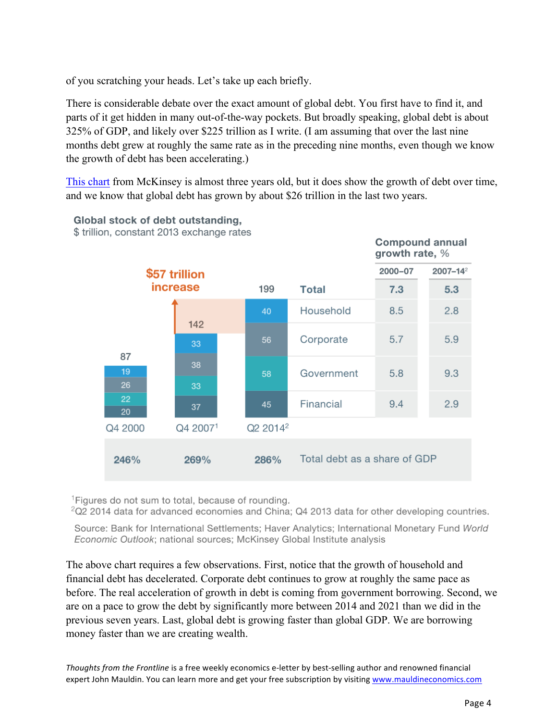of you scratching your heads. Let's take up each briefly.

There is considerable debate over the exact amount of global debt. You first have to find it, and parts of it get hidden in many out-of-the-way pockets. But broadly speaking, global debt is about 325% of GDP, and likely over \$225 trillion as I write. (I am assuming that over the last nine months debt grew at roughly the same rate as in the preceding nine months, even though we know the growth of debt has been accelerating.)

[This chart](http://www.mckinsey.com/global-themes/employment-and-growth/debt-and-not-much-deleveraging) from McKinsey is almost three years old, but it does show the growth of debt over time, and we know that global debt has grown by about \$26 trillion in the last two years.



Global stock of debt outstanding,

\$ trillion, constant 2013 exchange rates

<sup>1</sup>Figures do not sum to total, because of rounding.

 $2$ Q2 2014 data for advanced economies and China; Q4 2013 data for other developing countries.

Source: Bank for International Settlements; Haver Analytics; International Monetary Fund World Economic Outlook; national sources; McKinsey Global Institute analysis

The above chart requires a few observations. First, notice that the growth of household and financial debt has decelerated. Corporate debt continues to grow at roughly the same pace as before. The real acceleration of growth in debt is coming from government borrowing. Second, we are on a pace to grow the debt by significantly more between 2014 and 2021 than we did in the previous seven years. Last, global debt is growing faster than global GDP. We are borrowing money faster than we are creating wealth.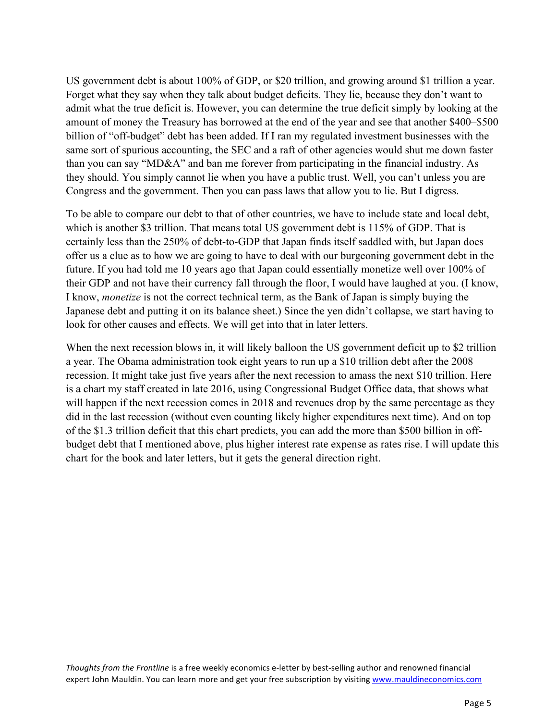US government debt is about 100% of GDP, or \$20 trillion, and growing around \$1 trillion a year. Forget what they say when they talk about budget deficits. They lie, because they don't want to admit what the true deficit is. However, you can determine the true deficit simply by looking at the amount of money the Treasury has borrowed at the end of the year and see that another \$400–\$500 billion of "off-budget" debt has been added. If I ran my regulated investment businesses with the same sort of spurious accounting, the SEC and a raft of other agencies would shut me down faster than you can say "MD&A" and ban me forever from participating in the financial industry. As they should. You simply cannot lie when you have a public trust. Well, you can't unless you are Congress and the government. Then you can pass laws that allow you to lie. But I digress.

To be able to compare our debt to that of other countries, we have to include state and local debt, which is another \$3 trillion. That means total US government debt is 115% of GDP. That is certainly less than the 250% of debt-to-GDP that Japan finds itself saddled with, but Japan does offer us a clue as to how we are going to have to deal with our burgeoning government debt in the future. If you had told me 10 years ago that Japan could essentially monetize well over 100% of their GDP and not have their currency fall through the floor, I would have laughed at you. (I know, I know, *monetize* is not the correct technical term, as the Bank of Japan is simply buying the Japanese debt and putting it on its balance sheet.) Since the yen didn't collapse, we start having to look for other causes and effects. We will get into that in later letters.

When the next recession blows in, it will likely balloon the US government deficit up to \$2 trillion a year. The Obama administration took eight years to run up a \$10 trillion debt after the 2008 recession. It might take just five years after the next recession to amass the next \$10 trillion. Here is a chart my staff created in late 2016, using Congressional Budget Office data, that shows what will happen if the next recession comes in 2018 and revenues drop by the same percentage as they did in the last recession (without even counting likely higher expenditures next time). And on top of the \$1.3 trillion deficit that this chart predicts, you can add the more than \$500 billion in offbudget debt that I mentioned above, plus higher interest rate expense as rates rise. I will update this chart for the book and later letters, but it gets the general direction right.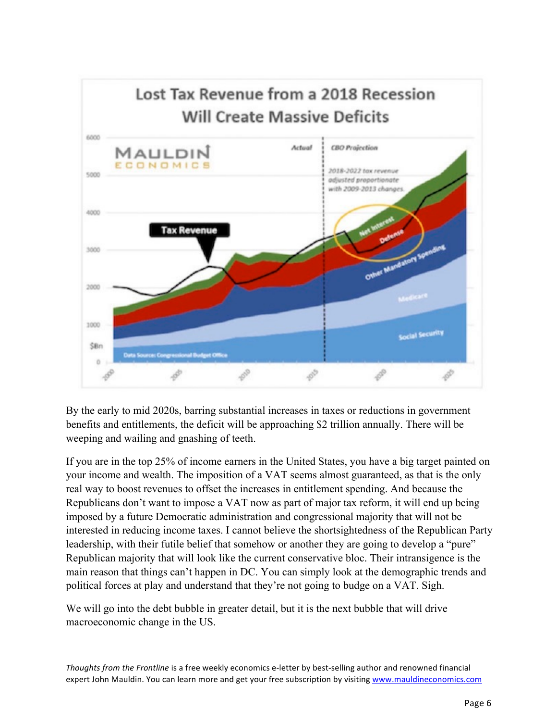

By the early to mid 2020s, barring substantial increases in taxes or reductions in government benefits and entitlements, the deficit will be approaching \$2 trillion annually. There will be weeping and wailing and gnashing of teeth.

If you are in the top 25% of income earners in the United States, you have a big target painted on your income and wealth. The imposition of a VAT seems almost guaranteed, as that is the only real way to boost revenues to offset the increases in entitlement spending. And because the Republicans don't want to impose a VAT now as part of major tax reform, it will end up being imposed by a future Democratic administration and congressional majority that will not be interested in reducing income taxes. I cannot believe the shortsightedness of the Republican Party leadership, with their futile belief that somehow or another they are going to develop a "pure" Republican majority that will look like the current conservative bloc. Their intransigence is the main reason that things can't happen in DC. You can simply look at the demographic trends and political forces at play and understand that they're not going to budge on a VAT. Sigh.

We will go into the debt bubble in greater detail, but it is the next bubble that will drive macroeconomic change in the US.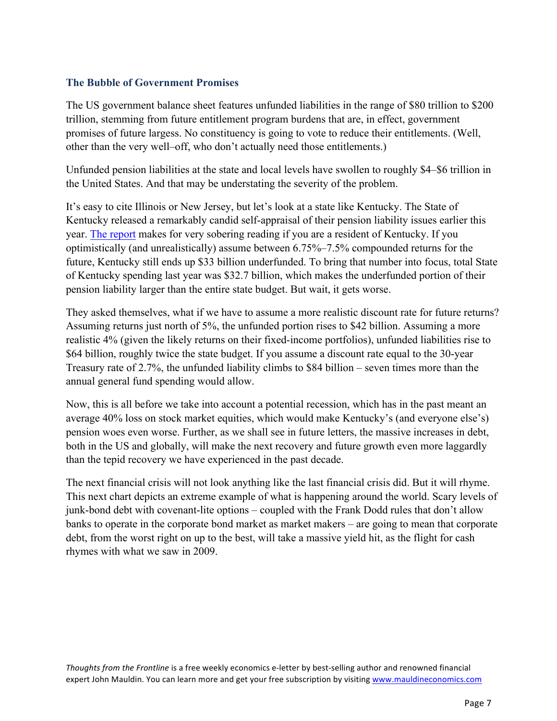#### **The Bubble of Government Promises**

The US government balance sheet features unfunded liabilities in the range of \$80 trillion to \$200 trillion, stemming from future entitlement program burdens that are, in effect, government promises of future largess. No constituency is going to vote to reduce their entitlements. (Well, other than the very well–off, who don't actually need those entitlements.)

Unfunded pension liabilities at the state and local levels have swollen to roughly \$4–\$6 trillion in the United States. And that may be understating the severity of the problem.

It's easy to cite Illinois or New Jersey, but let's look at a state like Kentucky. The State of Kentucky released a remarkably candid self-appraisal of their pension liability issues earlier this year. [The report](https://osbd.ky.gov/Documents/Pension Reform/KY Report 2 Briefing 5-22-17 FINAL.pdf) makes for very sobering reading if you are a resident of Kentucky. If you optimistically (and unrealistically) assume between 6.75%–7.5% compounded returns for the future, Kentucky still ends up \$33 billion underfunded. To bring that number into focus, total State of Kentucky spending last year was \$32.7 billion, which makes the underfunded portion of their pension liability larger than the entire state budget. But wait, it gets worse.

They asked themselves, what if we have to assume a more realistic discount rate for future returns? Assuming returns just north of 5%, the unfunded portion rises to \$42 billion. Assuming a more realistic 4% (given the likely returns on their fixed-income portfolios), unfunded liabilities rise to \$64 billion, roughly twice the state budget. If you assume a discount rate equal to the 30-year Treasury rate of 2.7%, the unfunded liability climbs to \$84 billion – seven times more than the annual general fund spending would allow.

Now, this is all before we take into account a potential recession, which has in the past meant an average 40% loss on stock market equities, which would make Kentucky's (and everyone else's) pension woes even worse. Further, as we shall see in future letters, the massive increases in debt, both in the US and globally, will make the next recovery and future growth even more laggardly than the tepid recovery we have experienced in the past decade.

The next financial crisis will not look anything like the last financial crisis did. But it will rhyme. This next chart depicts an extreme example of what is happening around the world. Scary levels of junk-bond debt with covenant-lite options – coupled with the Frank Dodd rules that don't allow banks to operate in the corporate bond market as market makers – are going to mean that corporate debt, from the worst right on up to the best, will take a massive yield hit, as the flight for cash rhymes with what we saw in 2009.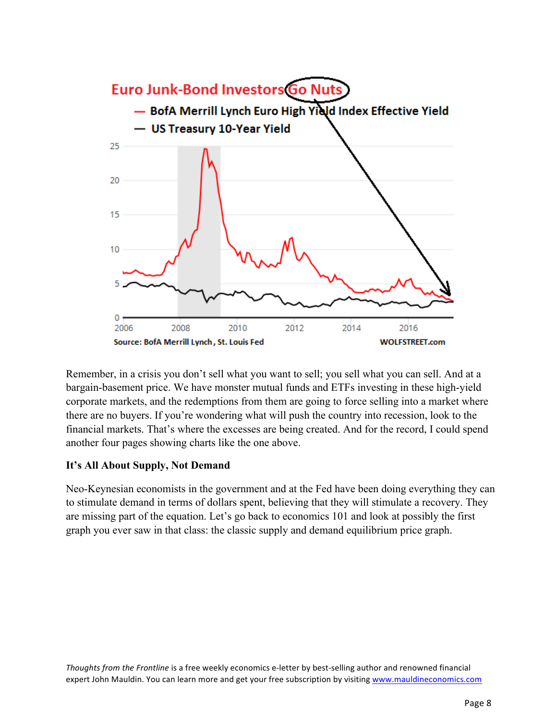

Remember, in a crisis you don't sell what you want to sell; you sell what you can sell. And at a bargain-basement price. We have monster mutual funds and ETFs investing in these high-yield corporate markets, and the redemptions from them are going to force selling into a market where there are no buyers. If you're wondering what will push the country into recession, look to the financial markets. That's where the excesses are being created. And for the record, I could spend another four pages showing charts like the one above.

#### **It's All About Supply, Not Demand**

Neo-Keynesian economists in the government and at the Fed have been doing everything they can to stimulate demand in terms of dollars spent, believing that they will stimulate a recovery. They are missing part of the equation. Let's go back to economics 101 and look at possibly the first graph you ever saw in that class: the classic supply and demand equilibrium price graph.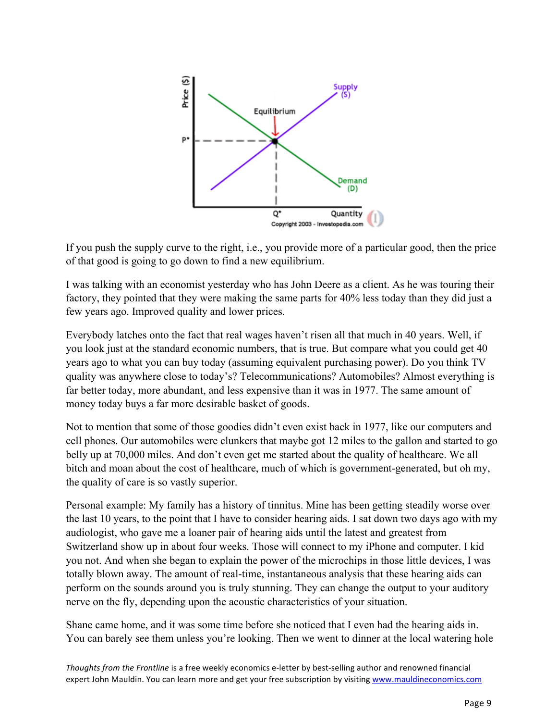

If you push the supply curve to the right, i.e., you provide more of a particular good, then the price of that good is going to go down to find a new equilibrium.

I was talking with an economist yesterday who has John Deere as a client. As he was touring their factory, they pointed that they were making the same parts for 40% less today than they did just a few years ago. Improved quality and lower prices.

Everybody latches onto the fact that real wages haven't risen all that much in 40 years. Well, if you look just at the standard economic numbers, that is true. But compare what you could get 40 years ago to what you can buy today (assuming equivalent purchasing power). Do you think TV quality was anywhere close to today's? Telecommunications? Automobiles? Almost everything is far better today, more abundant, and less expensive than it was in 1977. The same amount of money today buys a far more desirable basket of goods.

Not to mention that some of those goodies didn't even exist back in 1977, like our computers and cell phones. Our automobiles were clunkers that maybe got 12 miles to the gallon and started to go belly up at 70,000 miles. And don't even get me started about the quality of healthcare. We all bitch and moan about the cost of healthcare, much of which is government-generated, but oh my, the quality of care is so vastly superior.

Personal example: My family has a history of tinnitus. Mine has been getting steadily worse over the last 10 years, to the point that I have to consider hearing aids. I sat down two days ago with my audiologist, who gave me a loaner pair of hearing aids until the latest and greatest from Switzerland show up in about four weeks. Those will connect to my iPhone and computer. I kid you not. And when she began to explain the power of the microchips in those little devices, I was totally blown away. The amount of real-time, instantaneous analysis that these hearing aids can perform on the sounds around you is truly stunning. They can change the output to your auditory nerve on the fly, depending upon the acoustic characteristics of your situation.

Shane came home, and it was some time before she noticed that I even had the hearing aids in. You can barely see them unless you're looking. Then we went to dinner at the local watering hole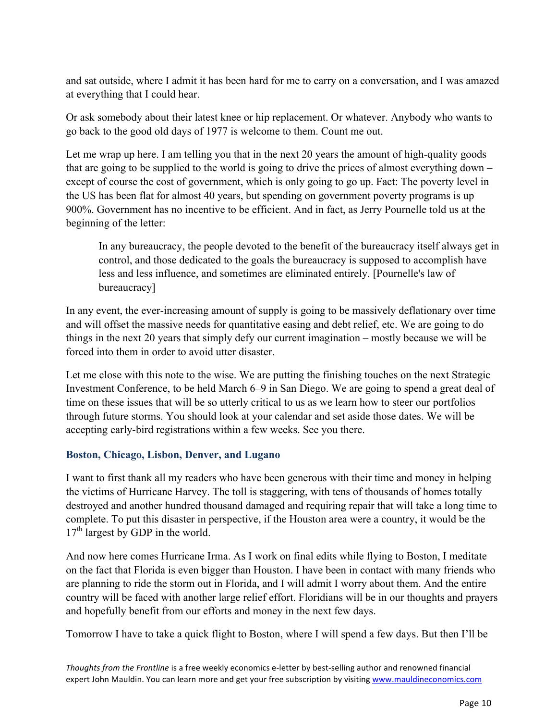and sat outside, where I admit it has been hard for me to carry on a conversation, and I was amazed at everything that I could hear.

Or ask somebody about their latest knee or hip replacement. Or whatever. Anybody who wants to go back to the good old days of 1977 is welcome to them. Count me out.

Let me wrap up here. I am telling you that in the next 20 years the amount of high-quality goods that are going to be supplied to the world is going to drive the prices of almost everything down – except of course the cost of government, which is only going to go up. Fact: The poverty level in the US has been flat for almost 40 years, but spending on government poverty programs is up 900%. Government has no incentive to be efficient. And in fact, as Jerry Pournelle told us at the beginning of the letter:

In any bureaucracy, the people devoted to the benefit of the bureaucracy itself always get in control, and those dedicated to the goals the bureaucracy is supposed to accomplish have less and less influence, and sometimes are eliminated entirely. [Pournelle's law of bureaucracy]

In any event, the ever-increasing amount of supply is going to be massively deflationary over time and will offset the massive needs for quantitative easing and debt relief, etc. We are going to do things in the next 20 years that simply defy our current imagination – mostly because we will be forced into them in order to avoid utter disaster.

Let me close with this note to the wise. We are putting the finishing touches on the next Strategic Investment Conference, to be held March 6–9 in San Diego. We are going to spend a great deal of time on these issues that will be so utterly critical to us as we learn how to steer our portfolios through future storms. You should look at your calendar and set aside those dates. We will be accepting early-bird registrations within a few weeks. See you there.

#### **Boston, Chicago, Lisbon, Denver, and Lugano**

I want to first thank all my readers who have been generous with their time and money in helping the victims of Hurricane Harvey. The toll is staggering, with tens of thousands of homes totally destroyed and another hundred thousand damaged and requiring repair that will take a long time to complete. To put this disaster in perspective, if the Houston area were a country, it would be the  $17<sup>th</sup>$  largest by GDP in the world.

And now here comes Hurricane Irma. As I work on final edits while flying to Boston, I meditate on the fact that Florida is even bigger than Houston. I have been in contact with many friends who are planning to ride the storm out in Florida, and I will admit I worry about them. And the entire country will be faced with another large relief effort. Floridians will be in our thoughts and prayers and hopefully benefit from our efforts and money in the next few days.

Tomorrow I have to take a quick flight to Boston, where I will spend a few days. But then I'll be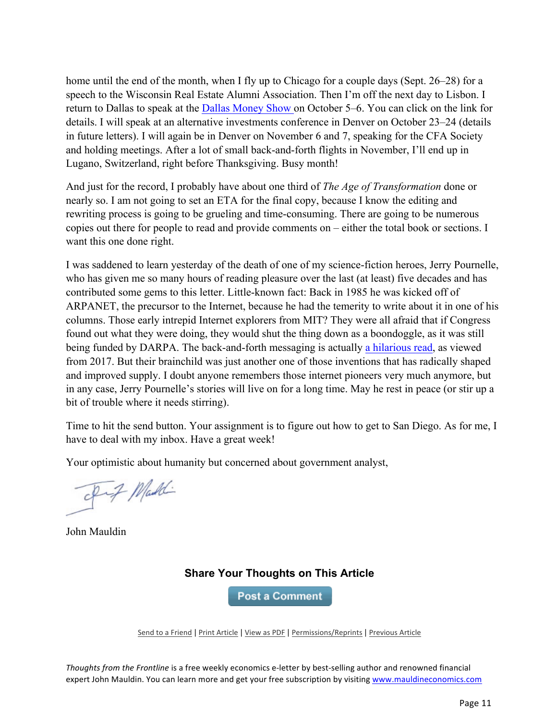home until the end of the month, when I fly up to Chicago for a couple days (Sept. 26–28) for a speech to the Wisconsin Real Estate Alumni Association. Then I'm off the next day to Lisbon. I return to Dallas to speak at the [Dallas Money Show](https://www.moneyshow.com/events/conferences/the-moneyshow/moneyshow-dallas/speakers/1610spk/john-mauldin/?scode=043351) on October 5–6. You can click on the link for details. I will speak at an alternative investments conference in Denver on October 23–24 (details in future letters). I will again be in Denver on November 6 and 7, speaking for the CFA Society and holding meetings. After a lot of small back-and-forth flights in November, I'll end up in Lugano, Switzerland, right before Thanksgiving. Busy month!

And just for the record, I probably have about one third of *The Age of Transformation* done or nearly so. I am not going to set an ETA for the final copy, because I know the editing and rewriting process is going to be grueling and time-consuming. There are going to be numerous copies out there for people to read and provide comments on – either the total book or sections. I want this one done right.

I was saddened to learn yesterday of the death of one of my science-fiction heroes, Jerry Pournelle, who has given me so many hours of reading pleasure over the last (at least) five decades and has contributed some gems to this letter. Little-known fact: Back in 1985 he was kicked off of ARPANET, the precursor to the Internet, because he had the temerity to write about it in one of his columns. Those early intrepid Internet explorers from MIT? They were all afraid that if Congress found out what they were doing, they would shut the thing down as a boondoggle, as it was still being funded by DARPA. The back-and-forth messaging is actually [a hilarious read,](http://www.bradford-delong.com/2013/07/how-jerry-pournelle-got-kicked-off-the-arpanet.html) as viewed from 2017. But their brainchild was just another one of those inventions that has radically shaped and improved supply. I doubt anyone remembers those internet pioneers very much anymore, but in any case, Jerry Pournelle's stories will live on for a long time. May he rest in peace (or stir up a bit of trouble where it needs stirring).

Time to hit the send button. Your assignment is to figure out how to get to San Diego. As for me, I have to deal with my inbox. Have a great week!

Your optimistic about humanity but concerned about government analyst,

of Maddi

John Mauldin

## **Share Your Thoughts on This Article**

**Post a Comment** 

Send to a Friend | Print Article | View as PDF | Permissions/Reprints | Previous Article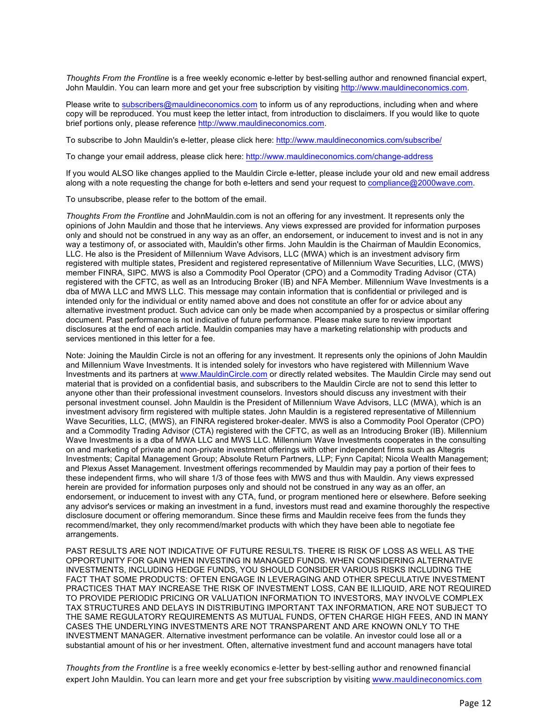*Thoughts From the Frontline* is a free weekly economic e-letter by best-selling author and renowned financial expert, John Mauldin. You can learn more and get your free subscription by visiting http://www.mauldineconomics.com.

Please write to subscribers@mauldineconomics.com to inform us of any reproductions, including when and where copy will be reproduced. You must keep the letter intact, from introduction to disclaimers. If you would like to quote brief portions only, please reference http://www.mauldineconomics.com.

To subscribe to John Mauldin's e-letter, please click here: http://www.mauldineconomics.com/subscribe/

To change your email address, please click here: http://www.mauldineconomics.com/change-address

If you would ALSO like changes applied to the Mauldin Circle e-letter, please include your old and new email address along with a note requesting the change for both e-letters and send your request to compliance@2000wave.com.

To unsubscribe, please refer to the bottom of the email.

*Thoughts From the Frontline* and JohnMauldin.com is not an offering for any investment. It represents only the opinions of John Mauldin and those that he interviews. Any views expressed are provided for information purposes only and should not be construed in any way as an offer, an endorsement, or inducement to invest and is not in any way a testimony of, or associated with, Mauldin's other firms. John Mauldin is the Chairman of Mauldin Economics, LLC. He also is the President of Millennium Wave Advisors, LLC (MWA) which is an investment advisory firm registered with multiple states, President and registered representative of Millennium Wave Securities, LLC, (MWS) member FINRA, SIPC. MWS is also a Commodity Pool Operator (CPO) and a Commodity Trading Advisor (CTA) registered with the CFTC, as well as an Introducing Broker (IB) and NFA Member. Millennium Wave Investments is a dba of MWA LLC and MWS LLC. This message may contain information that is confidential or privileged and is intended only for the individual or entity named above and does not constitute an offer for or advice about any alternative investment product. Such advice can only be made when accompanied by a prospectus or similar offering document. Past performance is not indicative of future performance. Please make sure to review important disclosures at the end of each article. Mauldin companies may have a marketing relationship with products and services mentioned in this letter for a fee.

Note: Joining the Mauldin Circle is not an offering for any investment. It represents only the opinions of John Mauldin and Millennium Wave Investments. It is intended solely for investors who have registered with Millennium Wave Investments and its partners at www.MauldinCircle.com or directly related websites. The Mauldin Circle may send out material that is provided on a confidential basis, and subscribers to the Mauldin Circle are not to send this letter to anyone other than their professional investment counselors. Investors should discuss any investment with their personal investment counsel. John Mauldin is the President of Millennium Wave Advisors, LLC (MWA), which is an investment advisory firm registered with multiple states. John Mauldin is a registered representative of Millennium Wave Securities, LLC, (MWS), an FINRA registered broker-dealer. MWS is also a Commodity Pool Operator (CPO) and a Commodity Trading Advisor (CTA) registered with the CFTC, as well as an Introducing Broker (IB). Millennium Wave Investments is a dba of MWA LLC and MWS LLC. Millennium Wave Investments cooperates in the consulting on and marketing of private and non-private investment offerings with other independent firms such as Altegris Investments; Capital Management Group; Absolute Return Partners, LLP; Fynn Capital; Nicola Wealth Management; and Plexus Asset Management. Investment offerings recommended by Mauldin may pay a portion of their fees to these independent firms, who will share 1/3 of those fees with MWS and thus with Mauldin. Any views expressed herein are provided for information purposes only and should not be construed in any way as an offer, an endorsement, or inducement to invest with any CTA, fund, or program mentioned here or elsewhere. Before seeking any advisor's services or making an investment in a fund, investors must read and examine thoroughly the respective disclosure document or offering memorandum. Since these firms and Mauldin receive fees from the funds they recommend/market, they only recommend/market products with which they have been able to negotiate fee arrangements.

PAST RESULTS ARE NOT INDICATIVE OF FUTURE RESULTS. THERE IS RISK OF LOSS AS WELL AS THE OPPORTUNITY FOR GAIN WHEN INVESTING IN MANAGED FUNDS. WHEN CONSIDERING ALTERNATIVE INVESTMENTS, INCLUDING HEDGE FUNDS, YOU SHOULD CONSIDER VARIOUS RISKS INCLUDING THE FACT THAT SOME PRODUCTS: OFTEN ENGAGE IN LEVERAGING AND OTHER SPECULATIVE INVESTMENT PRACTICES THAT MAY INCREASE THE RISK OF INVESTMENT LOSS, CAN BE ILLIQUID, ARE NOT REQUIRED TO PROVIDE PERIODIC PRICING OR VALUATION INFORMATION TO INVESTORS, MAY INVOLVE COMPLEX TAX STRUCTURES AND DELAYS IN DISTRIBUTING IMPORTANT TAX INFORMATION, ARE NOT SUBJECT TO THE SAME REGULATORY REQUIREMENTS AS MUTUAL FUNDS, OFTEN CHARGE HIGH FEES, AND IN MANY CASES THE UNDERLYING INVESTMENTS ARE NOT TRANSPARENT AND ARE KNOWN ONLY TO THE INVESTMENT MANAGER. Alternative investment performance can be volatile. An investor could lose all or a substantial amount of his or her investment. Often, alternative investment fund and account managers have total